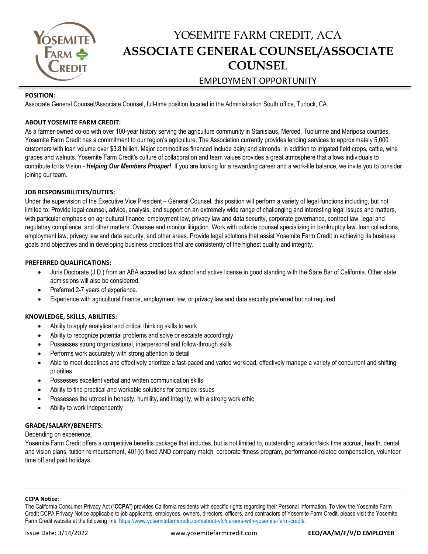

## YOSEMITE FARM CREDIT, ACA **ASSOCIATE GENERAL COUNSEL/ASSOCIATE COUNSEL** EMPLOYMENT OPPORTUNITY

#### **POSITION:**

Associate General Counsel/Associate Counsel, full-time position located in the Administration South office, Turlock, CA.

#### **ABOUT YOSEMITE FARM CREDIT:**

As a farmer-owned co-op with over 100-year history serving the agriculture community in Stanislaus, Merced, Tuolumne and Mariposa counties, Yosemite Farm Credit has a commitment to our region's agriculture. The Association currently provides lending services to approximately 5,000 customers with loan volume over \$3.8 billion. Major commodities financed include dairy and almonds, in addition to irrigated field crops, cattle, wine grapes and walnuts. Yosemite Farm Credit's culture of collaboration and team values provides a great atmosphere that allows individuals to contribute to its Vision - *Helping Our Members Prosper!* If you are looking for a rewarding career and a work-life balance, we invite you to consider joining our team.

#### **JOB RESPONSIBILITIES/DUTIES:**

Under the supervision of the Executive Vice President – General Counsel, this position will perform a variety of legal functions including, but not limited to: Provide legal counsel, advice, analysis, and support on an extremely wide range of challenging and interesting legal issues and matters, with particular emphasis on agricultural finance, employment law, privacy law and data security, corporate governance, contract law, legal and regulatory compliance, and other matters. Oversee and monitor litigation. Work with outside counsel specializing in bankruptcy law, loan collections, employment law, privacy law and data security, and other areas. Provide legal solutions that assist Yosemite Farm Credit in achieving its business goals and objectives and in developing business practices that are consistently of the highest quality and integrity.

#### **PREFERRED QUALIFICATIONS:**

- Juris Doctorate (J.D.) from an ABA accredited law school and active license in good standing with the State Bar of California. Other state admissions will also be considered.
- Preferred 2-7 years of experience.
- Experience with agricultural finance, employment law, or privacy law and data security preferred but not required.

#### **KNOWLEDGE, SKILLS, ABILITIES:**

- Ability to apply analytical and critical thinking skills to work
- Ability to recognize potential problems and solve or escalate accordingly
- Possesses strong organizational, interpersonal and follow-through skills
- Performs work accurately with strong attention to detail
- Able to meet deadlines and effectively prioritize a fast-paced and varied workload, effectively manage a variety of concurrent and shifting priorities
- Possesses excellent verbal and written communication skills
- Ability to find practical and workable solutions for complex issues
- Possesses the utmost in honesty, humility, and integrity, with a strong work ethic
- Ability to work independently

#### **GRADE/SALARY/BENEFITS:**

Depending on experience.

Yosemite Farm Credit offers a competitive benefits package that includes, but is not limited to, outstanding vacation/sick time accrual, health, dental, and vision plans, tuition reimbursement, 401(k) fixed AND company match, corporate fitness program, performance-related compensation, volunteer time off and paid holidays.

#### **CCPA Notice:**

The California Consumer Privacy Act ("**CCPA**") provides California residents with specific rights regarding their Personal Information. To view the Yosemite Farm Credit CCPA Privacy Notice applicable to job applicants, employees, owners, directors, officers, and contractors of Yosemite Farm Credit, please visit the Yosemite Farm Credit website at the following link[: https://www.yosemitefarmcredit.com/about-yfc/careers-with-yosemite-farm-credit/.](https://www.yosemitefarmcredit.com/about-yfc/careers-with-yosemite-farm-credit/)